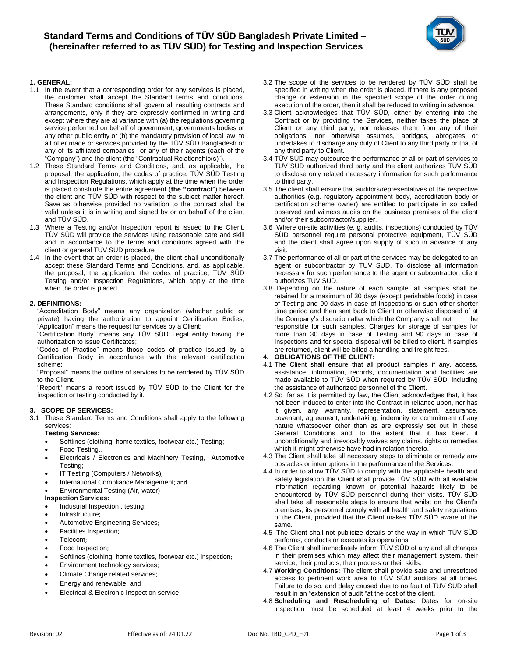

# **1. GENERAL:**

- 1.1 In the event that a corresponding order for any services is placed, the customer shall accept the Standard terms and conditions. These Standard conditions shall govern all resulting contracts and arrangements, only if they are expressly confirmed in writing and except where they are at variance with (a) the regulations governing service performed on behalf of government, governments bodies or any other public entity or (b) the mandatory provision of local law, to all offer made or services provided by the TÜV SÜD Bangladesh or any of its affiliated companies or any of their agents (each of the "Company") and the client (the "Contractual Relationship(s)").
- 1.2 These Standard Terms and Conditions, and, as applicable, the proposal, the application, the codes of practice, TÜV SÜD Testing and Inspection Regulations, which apply at the time when the order is placed constitute the entire agreement (**the "contract**") between the client and TÜV SÜD with respect to the subject matter hereof. Save as otherwise provided no variation to the contract shall be valid unless it is in writing and signed by or on behalf of the client and TÜV SÜD.
- 1.3 Where a Testing and/or Inspection report is issued to the Client, TÜV SÜD will provide the services using reasonable care and skill and In accordance to the terms and conditions agreed with the client or general TUV SUD procedure
- 1.4 In the event that an order is placed, the client shall unconditionally accept these Standard Terms and Conditions, and, as applicable, the proposal, the application, the codes of practice, TÜV SÜD Testing and/or Inspection Regulations, which apply at the time when the order is placed.

## **2. DEFINITIONS:**

"Accreditation Body" means any organization (whether public or private) having the authorization to appoint Certification Bodies; "Application" means the request for services by a Client;

"Certification Body" means any TÜV SÜD Legal entity having the authorization to issue Certificates;

"Codes of Practice" means those codes of practice issued by a Certification Body in accordance with the relevant certification scheme;

"Proposal" means the outline of services to be rendered by TÜV SÜD to the Client.

"Report" means a report issued by TÜV SÜD to the Client for the inspection or testing conducted by it.

#### **3. SCOPE OF SERVICES:**

3.1 These Standard Terms and Conditions shall apply to the following services:

# **Testing Services:**

- Softlines (clothing, home textiles, footwear etc.) Testing;
- [Food Testing](http://www.tuv-sud.in/testing-food.asp):,
- [Electricals / Electronics and Machinery Testing,](javascript:Openme() Automotive Testing;
- [IT Testing \(Computers / Networks\)](http://www.tuv-sud.in/ITTesting.asp);
- [International Compliance Management](http://www.tuv-sud.in/ICM.asp); and

### • Environmental Testing (Air, water)

- **Inspection Services:**
- [Industrial Inspection](http://www.tuv-sud.in/industrialinspection.asp), testing;
- [Infrastructure](http://www.tuv-sud.in/Infrastructure.asp);
- [Automotive Engineering Services](http://www.tuv-sud.in/automotivecontainment.asp);
- [Facilities Inspection](http://www.tuv-sud.in/facilitiesinspection.asp);
- [Telecom](http://www.tuv-sud.in/Telecom.asp);
- [Food Inspection](http://www.tuv-sud.in/foodinspection.asp);
- [Softlines \(clothing, home textiles, footwear etc.\) inspection](http://www.tuv-sud.in/TextileInspection.asp);
- Environment technology services;
- Climate Change related services;
- Energy and renewable; and
- Electrical & Electronic Inspection service
- 3.2 The scope of the services to be rendered by TÜV SÜD shall be specified in writing when the order is placed. If there is any proposed change or extension in the specified scope of the order during execution of the order, then it shall be reduced to writing in advance.
- 3.3 Client acknowledges that TÜV SÜD, either by entering into the Contract or by providing the Services, neither takes the place of Client or any third party, nor releases them from any of their obligations, nor otherwise assumes, abridges, abrogates or undertakes to discharge any duty of Client to any third party or that of any third party to Client.
- 3.4 TÜV SÜD may outsource the performance of all or part of services to TUV SUD authorized third party and the client authorizes TÜV SÜD to disclose only related necessary information for such performance to third party.
- 3.5 The client shall ensure that auditors/representatives of the respective authorities (e.g. regulatory appointment body, accreditation body or certification scheme owner) are entitled to participate in so called observed and witness audits on the business premises of the client and/or their subcontractor/supplier.
- 3.6 Where on-site activities (e. g. audits, inspections) conducted by TÜV SÜD personnel require personal protective equipment, TÜV SÜD and the client shall agree upon supply of such in advance of any visit.
- 3.7 The performance of all or part of the services may be delegated to an agent or subcontractor by TUV SUD. To disclose all information necessary for such performance to the agent or subcontractor, client authorizes TUV SUD.
- 3.8 Depending on the nature of each sample, all samples shall be retained for a maximum of 30 days (except perishable foods) in case of Testing and 90 days in case of Inspections or such other shorter time period and then sent back to Client or otherwise disposed of at the Company's discretion after which the Company shall not be responsible for such samples. Charges for storage of samples for more than 30 days in case of Testing and 90 days in case of Inspections and for special disposal will be billed to client. If samples are returned, client will be billed a handling and freight fees.

## **4. OBLIGATIONS OF THE CLIENT:**

- 4.1 The Client shall ensure that all product samples if any, access, assistance, information, records, documentation and facilities are made available to TÜV SÜD when required by TÜV SÜD, including the assistance of authorized personnel of the Client.
- 4.2 So far as it is permitted by law, the Client acknowledges that, it has not been induced to enter into the Contract in reliance upon, nor has it given, any warranty, representation, statement, assurance, covenant, agreement, undertaking, indemnity or commitment of any nature whatsoever other than as are expressly set out in these General Conditions and, to the extent that it has been, it unconditionally and irrevocably waives any claims, rights or remedies which it might otherwise have had in relation thereto.
- 4.3 The Client shall take all necessary steps to eliminate or remedy any obstacles or interruptions in the performance of the Services.
- 4.4 In order to allow TÜV SÜD to comply with the applicable health and safety legislation the Client shall provide TÜV SÜD with all available information regarding known or potential hazards likely to be encountered by TÜV SÜD personnel during their visits. TÜV SÜD shall take all reasonable steps to ensure that whilst on the Client's premises, its personnel comply with all health and safety regulations of the Client, provided that the Client makes TÜV SÜD aware of the same.
- 4.5 The Client shall not publicize details of the way in which TÜV SÜD performs, conducts or executes its operations.
- 4.6 The Client shall immediately inform TÜV SÜD of any and all changes in their premises which may affect their management system, their service, their products, their process or their skills.
- 4.7 **Working Conditions:** The client shall provide safe and unrestricted access to pertinent work area to TÜV SÜD auditors at all times. Failure to do so, and delay caused due to no fault of TÜV SÜD shall result in an "extension of audit "at the cost of the client.
- 4.8 **Scheduling and Rescheduling of Dates:** Dates for on-site inspection must be scheduled at least 4 weeks prior to the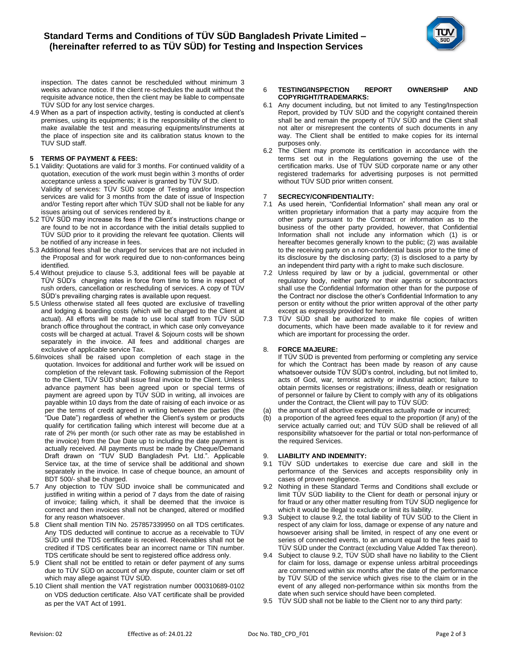

inspection. The dates cannot be rescheduled without minimum 3 weeks advance notice. If the client re-schedules the audit without the requisite advance notice, then the client may be liable to compensate TÜV SÜD for any lost service charges.

4.9 When as a part of inspection activity, testing is conducted at client's premises, using its equipments; it is the responsibility of the client to make available the test and measuring equipments/instruments at the place of inspection site and its calibration status known to the TUV SUD staff.

# **5 TERMS OF PAYMENT & FEES:**

- 5.1 Validity: Quotations are valid for 3 months. For continued validity of a quotation, execution of the work must begin within 3 months of order acceptance unless a specific waiver is granted by TÜV SUD. Validity of services: TÜV SÜD scope of Testing and/or Inspection services are valid for 3 months from the date of issue of Inspection and/or Testing report after which TÜV SÜD shall not be liable for any
- issues arising out of services rendered by it. 5.2 TÜV SÜD may increase its fees if the Client's instructions change or are found to be not in accordance with the initial details supplied to TÜV SÜD prior to it providing the relevant fee quotation. Clients will be notified of any increase in fees.
- 5.3 Additional fees shall be charged for services that are not included in the Proposal and for work required due to non-conformances being identified.
- 5.4 Without prejudice to clause 5.3, additional fees will be payable at TÜV SÜD's charging rates in force from time to time in respect of rush orders, cancellation or rescheduling of services. A copy of TÜV SÜD's prevailing charging rates is available upon request.
- 5.5 Unless otherwise stated all fees quoted are exclusive of travelling and lodging & boarding costs (which will be charged to the Client at actual). All efforts will be made to use local staff from TÜV SÜD branch office throughout the contract, in which case only conveyance costs will be charged at actual. Travel & Sojourn costs will be shown separately in the invoice. All fees and additional charges are exclusive of applicable service Tax.
- 5.6Invoices shall be raised upon completion of each stage in the quotation. Invoices for additional and further work will be issued on completion of the relevant task. Following submission of the Report to the Client, TÜV SÜD shall issue final invoice to the Client. Unless advance payment has been agreed upon or special terms of payment are agreed upon by TÜV SÜD in writing, all invoices are payable within 10 days from the date of raising of each invoice or as per the terms of credit agreed in writing between the parties (the "Due Date") regardless of whether the Client's system or products qualify for certification failing which interest will become due at a rate of 2% per month (or such other rate as may be established in the invoice) from the Due Date up to including the date payment is actually received. All payments must be made by Cheque/Demand Draft drawn on "TUV SUD Bangladesh Pvt. Ltd.". Applicable Service tax, at the time of service shall be additional and shown separately in the invoice. In case of cheque bounce, an amount of BDT 500/- shall be charged.
- 5.7 Any objection to TÜV SÜD invoice shall be communicated and justified in writing within a period of 7 days from the date of raising of invoice; failing which, it shall be deemed that the invoice is correct and then invoices shall not be changed, altered or modified for any reason whatsoever.
- 5.8 Client shall mention TIN No. 257857339950 on all TDS certificates. Any TDS deducted will continue to accrue as a receivable to TÜV SÜD until the TDS certificate is received. Receivables shall not be credited if TDS certificates bear an incorrect name or TIN number. TDS certificate should be sent to registered office address only.
- 5.9 Client shall not be entitled to retain or defer payment of any sums due to TÜV SÜD on account of any dispute, counter claim or set off which may allege against TÜV SÜD.
- 5.10 Client shall mention the VAT registration number 000310689-0102 on VDS deduction certificate. Also VAT certificate shall be provided as per the VAT Act of 1991.

#### 6 **TESTING/INSPECTION REPORT OWNERSHIP AND COPYRIGHT/TRADEMARKS:**

- 6.1 Any document including, but not limited to any Testing/Inspection Report, provided by TÜV SÜD and the copyright contained therein shall be and remain the property of TÜV SÜD and the Client shall not alter or misrepresent the contents of such documents in any way. The Client shall be entitled to make copies for its internal purposes only.
- 6.2 The Client may promote its certification in accordance with the terms set out in the Regulations governing the use of the certification marks. Use of TÜV SÜD corporate name or any other registered trademarks for advertising purposes is not permitted without TÜV SÜD prior written consent.

# 7 **SECRECY/CONFIDENTIALITY:**

- 7.1 As used herein, "Confidential Information" shall mean any oral or written proprietary information that a party may acquire from the other party pursuant to the Contract or information as to the business of the other party provided, however, that Confidential Information shall not include any information which (1) is or hereafter becomes generally known to the public; (2) was available to the receiving party on a non-confidential basis prior to the time of its disclosure by the disclosing party; (3) is disclosed to a party by an independent third party with a right to make such disclosure.
- 7.2 Unless required by law or by a judicial, governmental or other regulatory body, neither party nor their agents or subcontractors shall use the Confidential Information other than for the purpose of the Contract nor disclose the other's Confidential Information to any person or entity without the prior written approval of the other party except as expressly provided for herein.
- 7.3 TÜV SÜD shall be authorized to make file copies of written documents, which have been made available to it for review and which are important for processing the order.

## 8. **FORCE MAJEURE:**

If TÜV SÜD is prevented from performing or completing any service for which the Contract has been made by reason of any cause whatsoever outside TÜV SÜD's control, including, but not limited to, acts of God, war, terrorist activity or industrial action; failure to obtain permits licenses or registrations; illness, death or resignation of personnel or failure by Client to comply with any of its obligations under the Contract, the Client will pay to TÜV SÜD:

- (a) the amount of all abortive expenditures actually made or incurred;
- (b) a proportion of the agreed fees equal to the proportion (if any) of the service actually carried out; and TÜV SÜD shall be relieved of all responsibility whatsoever for the partial or total non-performance of the required Services.

# 9. **LIABILITY AND INDEMNITY:**

- 9.1 TÜV SÜD undertakes to exercise due care and skill in the performance of the Services and accepts responsibility only in cases of proven negligence.
- 9.2 Nothing in these Standard Terms and Conditions shall exclude or limit TÜV SÜD liability to the Client for death or personal injury or for fraud or any other matter resulting from TÜV SÜD negligence for which it would be illegal to exclude or limit its liability.
- 9.3 Subject to clause 9.2, the total liability of TÜV SÜD to the Client in respect of any claim for loss, damage or expense of any nature and howsoever arising shall be limited, in respect of any one event or series of connected events, to an amount equal to the fees paid to TÜV SÜD under the Contract (excluding Value Added Tax thereon).
- 9.4 Subject to clause 9.2, TÜV SÜD shall have no liability to the Client for claim for loss, damage or expense unless arbitral proceedings are commenced within six months after the date of the performance by TÜV SÜD of the service which gives rise to the claim or in the event of any alleged non-performance within six months from the date when such service should have been completed.
- 9.5 TÜV SÜD shall not be liable to the Client nor to any third party: